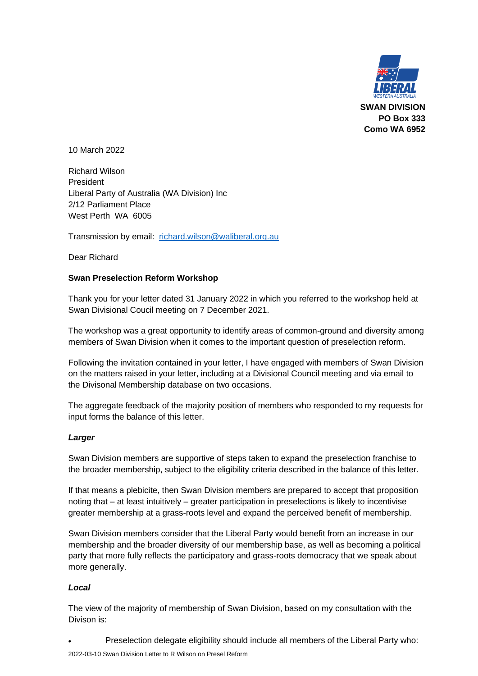

10 March 2022

Richard Wilson President Liberal Party of Australia (WA Division) Inc 2/12 Parliament Place West Perth WA 6005

Transmission by email: [richard.wilson@waliberal.org.au](mailto:richard.wilson@waliberal.org.au)

Dear Richard

### **Swan Preselection Reform Workshop**

Thank you for your letter dated 31 January 2022 in which you referred to the workshop held at Swan Divisional Coucil meeting on 7 December 2021.

The workshop was a great opportunity to identify areas of common-ground and diversity among members of Swan Division when it comes to the important question of preselection reform.

Following the invitation contained in your letter, I have engaged with members of Swan Division on the matters raised in your letter, including at a Divisional Council meeting and via email to the Divisonal Membership database on two occasions.

The aggregate feedback of the majority position of members who responded to my requests for input forms the balance of this letter.

### *Larger*

Swan Division members are supportive of steps taken to expand the preselection franchise to the broader membership, subject to the eligibility criteria described in the balance of this letter.

If that means a plebicite, then Swan Division members are prepared to accept that proposition noting that – at least intuitively – greater participation in preselections is likely to incentivise greater membership at a grass-roots level and expand the perceived benefit of membership.

Swan Division members consider that the Liberal Party would benefit from an increase in our membership and the broader diversity of our membership base, as well as becoming a political party that more fully reflects the participatory and grass-roots democracy that we speak about more generally.

### *Local*

The view of the majority of membership of Swan Division, based on my consultation with the Divison is:

• Preselection delegate eligibility should include all members of the Liberal Party who: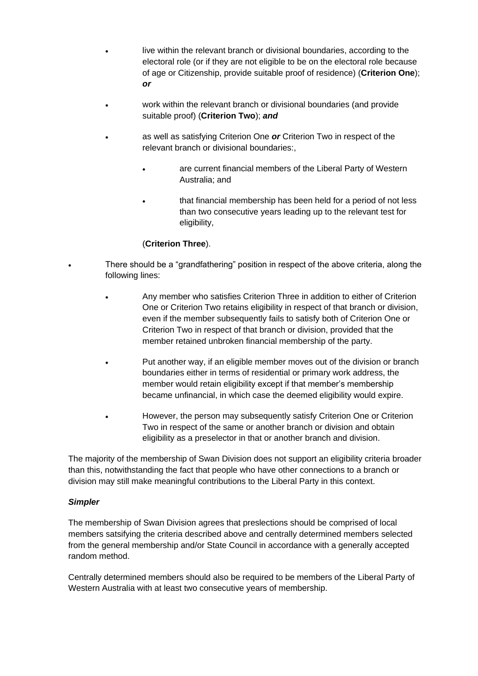- live within the relevant branch or divisional boundaries, according to the electoral role (or if they are not eligible to be on the electoral role because of age or Citizenship, provide suitable proof of residence) (**Criterion One**); *or*
- work within the relevant branch or divisional boundaries (and provide suitable proof) (**Criterion Two**); *and*
- as well as satisfying Criterion One *or* Criterion Two in respect of the relevant branch or divisional boundaries:,
	- are current financial members of the Liberal Party of Western Australia; and
	- that financial membership has been held for a period of not less than two consecutive years leading up to the relevant test for eligibility,

# (**Criterion Three**).

- There should be a "grandfathering" position in respect of the above criteria, along the following lines:
- Any member who satisfies Criterion Three in addition to either of Criterion One or Criterion Two retains eligibility in respect of that branch or division, even if the member subsequently fails to satisfy both of Criterion One or Criterion Two in respect of that branch or division, provided that the member retained unbroken financial membership of the party.
- Put another way, if an eligible member moves out of the division or branch boundaries either in terms of residential or primary work address, the member would retain eligibility except if that member's membership became unfinancial, in which case the deemed eligibility would expire.
- However, the person may subsequently satisfy Criterion One or Criterion Two in respect of the same or another branch or division and obtain eligibility as a preselector in that or another branch and division.

The majority of the membership of Swan Division does not support an eligibility criteria broader than this, notwithstanding the fact that people who have other connections to a branch or division may still make meaningful contributions to the Liberal Party in this context.

## *Simpler*

The membership of Swan Division agrees that preslections should be comprised of local members satsifying the criteria described above and centrally determined members selected from the general membership and/or State Council in accordance with a generally accepted random method.

Centrally determined members should also be required to be members of the Liberal Party of Western Australia with at least two consecutive years of membership.